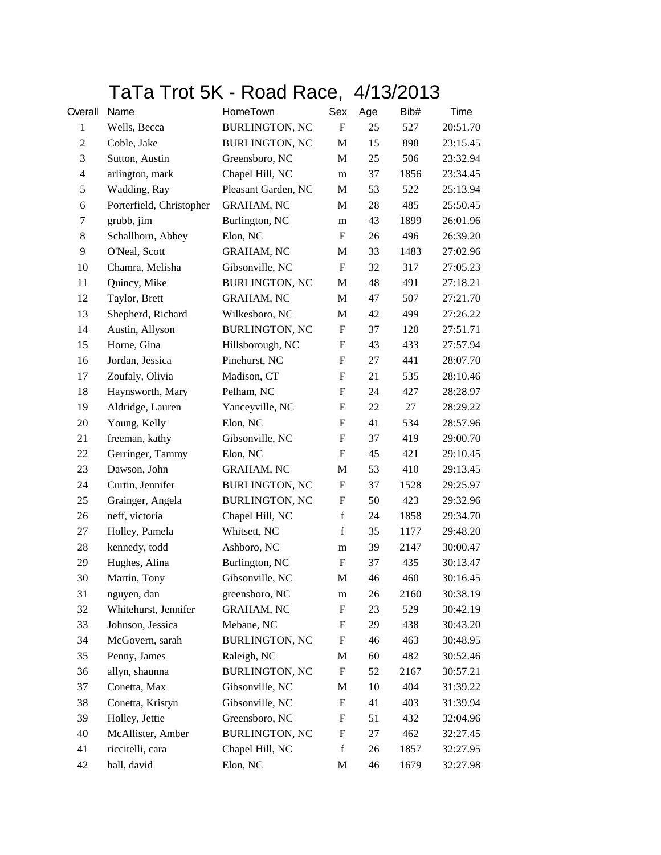## TaTa Trot 5K - Road Race, 4/13/2013

| Overall        | Name                     | HomeTown              | Sex                       | Age | Bib# | Time     |
|----------------|--------------------------|-----------------------|---------------------------|-----|------|----------|
| $\mathbf{1}$   | Wells, Becca             | <b>BURLINGTON, NC</b> | $\boldsymbol{\mathrm{F}}$ | 25  | 527  | 20:51.70 |
| $\overline{c}$ | Coble, Jake              | <b>BURLINGTON, NC</b> | M                         | 15  | 898  | 23:15.45 |
| 3              | Sutton, Austin           | Greensboro, NC        | M                         | 25  | 506  | 23:32.94 |
| 4              | arlington, mark          | Chapel Hill, NC       | ${\bf m}$                 | 37  | 1856 | 23:34.45 |
| 5              | Wadding, Ray             | Pleasant Garden, NC   | M                         | 53  | 522  | 25:13.94 |
| 6              | Porterfield, Christopher | <b>GRAHAM, NC</b>     | M                         | 28  | 485  | 25:50.45 |
| 7              | grubb, jim               | Burlington, NC        | m                         | 43  | 1899 | 26:01.96 |
| 8              | Schallhorn, Abbey        | Elon, NC              | $\mathbf F$               | 26  | 496  | 26:39.20 |
| 9              | O'Neal, Scott            | <b>GRAHAM, NC</b>     | M                         | 33  | 1483 | 27:02.96 |
| 10             | Chamra, Melisha          | Gibsonville, NC       | $\boldsymbol{\mathrm{F}}$ | 32  | 317  | 27:05.23 |
| 11             | Quincy, Mike             | <b>BURLINGTON, NC</b> | M                         | 48  | 491  | 27:18.21 |
| 12             | Taylor, Brett            | <b>GRAHAM, NC</b>     | M                         | 47  | 507  | 27:21.70 |
| 13             | Shepherd, Richard        | Wilkesboro, NC        | M                         | 42  | 499  | 27:26.22 |
| 14             | Austin, Allyson          | <b>BURLINGTON, NC</b> | $\boldsymbol{\mathrm{F}}$ | 37  | 120  | 27:51.71 |
| 15             | Horne, Gina              | Hillsborough, NC      | F                         | 43  | 433  | 27:57.94 |
| 16             | Jordan, Jessica          | Pinehurst, NC         | $\boldsymbol{\mathrm{F}}$ | 27  | 441  | 28:07.70 |
| 17             | Zoufaly, Olivia          | Madison, CT           | $\boldsymbol{\mathrm{F}}$ | 21  | 535  | 28:10.46 |
| 18             | Haynsworth, Mary         | Pelham, NC            | $\boldsymbol{\mathrm{F}}$ | 24  | 427  | 28:28.97 |
| 19             | Aldridge, Lauren         | Yanceyville, NC       | $\boldsymbol{\mathrm{F}}$ | 22  | 27   | 28:29.22 |
| 20             | Young, Kelly             | Elon, NC              | $\boldsymbol{\mathrm{F}}$ | 41  | 534  | 28:57.96 |
| 21             | freeman, kathy           | Gibsonville, NC       | $\boldsymbol{\mathrm{F}}$ | 37  | 419  | 29:00.70 |
| 22             | Gerringer, Tammy         | Elon, NC              | $\boldsymbol{\mathrm{F}}$ | 45  | 421  | 29:10.45 |
| 23             | Dawson, John             | <b>GRAHAM, NC</b>     | M                         | 53  | 410  | 29:13.45 |
| 24             | Curtin, Jennifer         | <b>BURLINGTON, NC</b> | $\boldsymbol{\mathrm{F}}$ | 37  | 1528 | 29:25.97 |
| 25             | Grainger, Angela         | <b>BURLINGTON, NC</b> | $\boldsymbol{\mathrm{F}}$ | 50  | 423  | 29:32.96 |
| 26             | neff, victoria           | Chapel Hill, NC       | $\mathbf f$               | 24  | 1858 | 29:34.70 |
| 27             | Holley, Pamela           | Whitsett, NC          | $\mathbf f$               | 35  | 1177 | 29:48.20 |
| 28             | kennedy, todd            | Ashboro, NC           | m                         | 39  | 2147 | 30:00.47 |
| 29             | Hughes, Alina            | Burlington, NC        | F                         | 37  | 435  | 30:13.47 |
| 30             | Martin, Tony             | Gibsonville, NC       | M                         | 46  | 460  | 30:16.45 |
| 31             | nguyen, dan              | greensboro, NC        | m                         | 26  | 2160 | 30:38.19 |
| 32             | Whitehurst, Jennifer     | <b>GRAHAM, NC</b>     | F                         | 23  | 529  | 30:42.19 |
| 33             | Johnson, Jessica         | Mebane, NC            | F                         | 29  | 438  | 30:43.20 |
| 34             | McGovern, sarah          | <b>BURLINGTON, NC</b> | $\boldsymbol{\mathrm{F}}$ | 46  | 463  | 30:48.95 |
| 35             | Penny, James             | Raleigh, NC           | M                         | 60  | 482  | 30:52.46 |
| 36             | allyn, shaunna           | <b>BURLINGTON, NC</b> | $\boldsymbol{\mathrm{F}}$ | 52  | 2167 | 30:57.21 |
| 37             | Conetta, Max             | Gibsonville, NC       | M                         | 10  | 404  | 31:39.22 |
| 38             | Conetta, Kristyn         | Gibsonville, NC       | F                         | 41  | 403  | 31:39.94 |
| 39             | Holley, Jettie           | Greensboro, NC        | $\boldsymbol{F}$          | 51  | 432  | 32:04.96 |
| 40             | McAllister, Amber        | <b>BURLINGTON, NC</b> | $\boldsymbol{F}$          | 27  | 462  | 32:27.45 |
| 41             | riccitelli, cara         | Chapel Hill, NC       | $\mathbf f$               | 26  | 1857 | 32:27.95 |
| 42             | hall, david              | Elon, NC              | M                         | 46  | 1679 | 32:27.98 |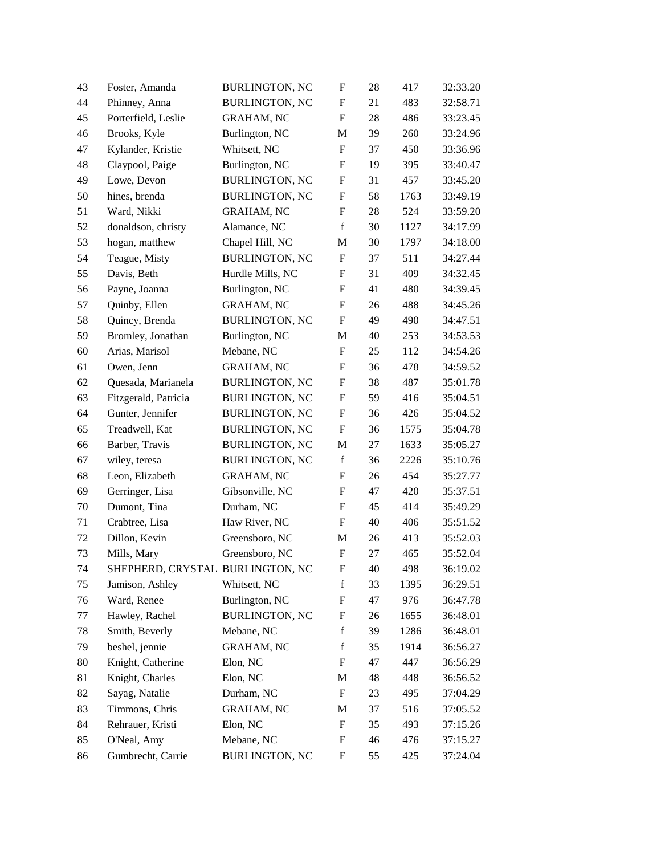| 43 | Foster, Amanda                   | <b>BURLINGTON, NC</b> | $\boldsymbol{\mathrm{F}}$ | 28 | 417  | 32:33.20 |
|----|----------------------------------|-----------------------|---------------------------|----|------|----------|
| 44 | Phinney, Anna                    | <b>BURLINGTON, NC</b> | $\boldsymbol{\mathrm{F}}$ | 21 | 483  | 32:58.71 |
| 45 | Porterfield, Leslie              | GRAHAM, NC            | $\mathbf F$               | 28 | 486  | 33:23.45 |
| 46 | Brooks, Kyle                     | Burlington, NC        | M                         | 39 | 260  | 33:24.96 |
| 47 | Kylander, Kristie                | Whitsett, NC          | F                         | 37 | 450  | 33:36.96 |
| 48 | Claypool, Paige                  | Burlington, NC        | $\boldsymbol{\mathrm{F}}$ | 19 | 395  | 33:40.47 |
| 49 | Lowe, Devon                      | <b>BURLINGTON, NC</b> | F                         | 31 | 457  | 33:45.20 |
| 50 | hines, brenda                    | <b>BURLINGTON, NC</b> | F                         | 58 | 1763 | 33:49.19 |
| 51 | Ward, Nikki                      | <b>GRAHAM, NC</b>     | F                         | 28 | 524  | 33:59.20 |
| 52 | donaldson, christy               | Alamance, NC          | $\mathbf f$               | 30 | 1127 | 34:17.99 |
| 53 | hogan, matthew                   | Chapel Hill, NC       | M                         | 30 | 1797 | 34:18.00 |
| 54 | Teague, Misty                    | <b>BURLINGTON, NC</b> | F                         | 37 | 511  | 34:27.44 |
| 55 | Davis, Beth                      | Hurdle Mills, NC      | F                         | 31 | 409  | 34:32.45 |
| 56 | Payne, Joanna                    | Burlington, NC        | F                         | 41 | 480  | 34:39.45 |
| 57 | Quinby, Ellen                    | <b>GRAHAM, NC</b>     | $\boldsymbol{\mathrm{F}}$ | 26 | 488  | 34:45.26 |
| 58 | Quincy, Brenda                   | <b>BURLINGTON, NC</b> | $\boldsymbol{\mathrm{F}}$ | 49 | 490  | 34:47.51 |
| 59 | Bromley, Jonathan                | Burlington, NC        | M                         | 40 | 253  | 34:53.53 |
| 60 | Arias, Marisol                   | Mebane, NC            | ${\bf F}$                 | 25 | 112  | 34:54.26 |
| 61 | Owen, Jenn                       | <b>GRAHAM, NC</b>     | F                         | 36 | 478  | 34:59.52 |
| 62 | Quesada, Marianela               | <b>BURLINGTON, NC</b> | F                         | 38 | 487  | 35:01.78 |
| 63 | Fitzgerald, Patricia             | <b>BURLINGTON, NC</b> | $\boldsymbol{\mathrm{F}}$ | 59 | 416  | 35:04.51 |
| 64 | Gunter, Jennifer                 | <b>BURLINGTON, NC</b> | F                         | 36 | 426  | 35:04.52 |
| 65 | Treadwell, Kat                   | <b>BURLINGTON, NC</b> | $\boldsymbol{\mathrm{F}}$ | 36 | 1575 | 35:04.78 |
| 66 | Barber, Travis                   | <b>BURLINGTON, NC</b> | M                         | 27 | 1633 | 35:05.27 |
| 67 | wiley, teresa                    | <b>BURLINGTON, NC</b> | $\mathbf f$               | 36 | 2226 | 35:10.76 |
| 68 | Leon, Elizabeth                  | <b>GRAHAM, NC</b>     | $\boldsymbol{\mathrm{F}}$ | 26 | 454  | 35:27.77 |
| 69 | Gerringer, Lisa                  | Gibsonville, NC       | F                         | 47 | 420  | 35:37.51 |
| 70 | Dumont, Tina                     | Durham, NC            | F                         | 45 | 414  | 35:49.29 |
| 71 | Crabtree, Lisa                   | Haw River, NC         | $\boldsymbol{\mathrm{F}}$ | 40 | 406  | 35:51.52 |
| 72 | Dillon, Kevin                    | Greensboro, NC        | M                         | 26 | 413  | 35:52.03 |
| 73 | Mills, Mary                      | Greensboro, NC        | $\boldsymbol{\mathrm{F}}$ | 27 | 465  | 35:52.04 |
| 74 | SHEPHERD, CRYSTAL BURLINGTON, NC |                       | F                         | 40 | 498  | 36:19.02 |
| 75 | Jamison, Ashley                  | Whitsett, NC          | $\mathbf f$               | 33 | 1395 | 36:29.51 |
| 76 | Ward, Renee                      | Burlington, NC        | F                         | 47 | 976  | 36:47.78 |
| 77 | Hawley, Rachel                   | <b>BURLINGTON, NC</b> | F                         | 26 | 1655 | 36:48.01 |
| 78 | Smith, Beverly                   | Mebane, NC            | $\mathbf f$               | 39 | 1286 | 36:48.01 |
| 79 | beshel, jennie                   | <b>GRAHAM, NC</b>     | $\mathbf f$               | 35 | 1914 | 36:56.27 |
| 80 | Knight, Catherine                | Elon, NC              | $\boldsymbol{\mathrm{F}}$ | 47 | 447  | 36:56.29 |
| 81 | Knight, Charles                  | Elon, NC              | M                         | 48 | 448  | 36:56.52 |
| 82 | Sayag, Natalie                   | Durham, NC            | F                         | 23 | 495  | 37:04.29 |
| 83 | Timmons, Chris                   | <b>GRAHAM, NC</b>     | M                         | 37 | 516  | 37:05.52 |
| 84 | Rehrauer, Kristi                 | Elon, NC              | F                         | 35 | 493  | 37:15.26 |
| 85 | O'Neal, Amy                      | Mebane, NC            | F                         | 46 | 476  | 37:15.27 |
| 86 | Gumbrecht, Carrie                | <b>BURLINGTON, NC</b> | F                         | 55 | 425  | 37:24.04 |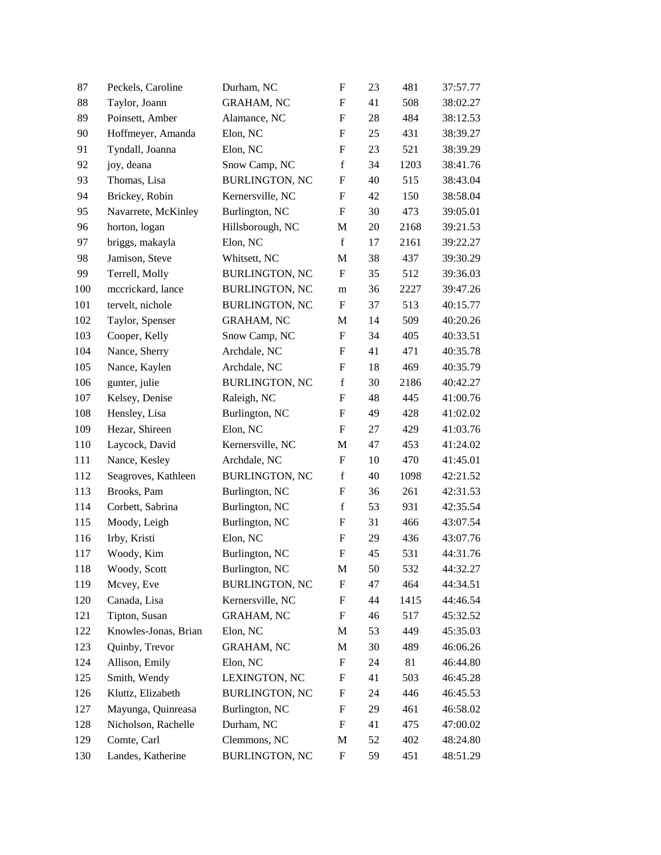| 87  | Peckels, Caroline    | Durham, NC            | $\boldsymbol{\mathrm{F}}$ | 23 | 481  | 37:57.77 |
|-----|----------------------|-----------------------|---------------------------|----|------|----------|
| 88  | Taylor, Joann        | <b>GRAHAM, NC</b>     | F                         | 41 | 508  | 38:02.27 |
| 89  | Poinsett, Amber      | Alamance, NC          | F                         | 28 | 484  | 38:12.53 |
| 90  | Hoffmeyer, Amanda    | Elon, NC              | F                         | 25 | 431  | 38:39.27 |
| 91  | Tyndall, Joanna      | Elon, NC              | $\boldsymbol{\mathrm{F}}$ | 23 | 521  | 38:39.29 |
| 92  | joy, deana           | Snow Camp, NC         | $\mathbf f$               | 34 | 1203 | 38:41.76 |
| 93  | Thomas, Lisa         | <b>BURLINGTON, NC</b> | F                         | 40 | 515  | 38:43.04 |
| 94  | Brickey, Robin       | Kernersville, NC      | F                         | 42 | 150  | 38:58.04 |
| 95  | Navarrete, McKinley  | Burlington, NC        | F                         | 30 | 473  | 39:05.01 |
| 96  | horton, logan        | Hillsborough, NC      | M                         | 20 | 2168 | 39:21.53 |
| 97  | briggs, makayla      | Elon, NC              | $\mathbf f$               | 17 | 2161 | 39:22.27 |
| 98  | Jamison, Steve       | Whitsett, NC          | M                         | 38 | 437  | 39:30.29 |
| 99  | Terrell, Molly       | <b>BURLINGTON, NC</b> | ${\bf F}$                 | 35 | 512  | 39:36.03 |
| 100 | meerickard, lance    | <b>BURLINGTON, NC</b> | m                         | 36 | 2227 | 39:47.26 |
| 101 | tervelt, nichole     | <b>BURLINGTON, NC</b> | $\boldsymbol{\mathrm{F}}$ | 37 | 513  | 40:15.77 |
| 102 | Taylor, Spenser      | <b>GRAHAM, NC</b>     | M                         | 14 | 509  | 40:20.26 |
| 103 | Cooper, Kelly        | Snow Camp, NC         | F                         | 34 | 405  | 40:33.51 |
| 104 | Nance, Sherry        | Archdale, NC          | F                         | 41 | 471  | 40:35.78 |
| 105 | Nance, Kaylen        | Archdale, NC          | $\boldsymbol{\mathrm{F}}$ | 18 | 469  | 40:35.79 |
| 106 | gunter, julie        | <b>BURLINGTON, NC</b> | $\mathbf f$               | 30 | 2186 | 40:42.27 |
| 107 | Kelsey, Denise       | Raleigh, NC           | $\mathbf F$               | 48 | 445  | 41:00.76 |
| 108 | Hensley, Lisa        | Burlington, NC        | F                         | 49 | 428  | 41:02.02 |
| 109 | Hezar, Shireen       | Elon, NC              | F                         | 27 | 429  | 41:03.76 |
| 110 | Laycock, David       | Kernersville, NC      | M                         | 47 | 453  | 41:24.02 |
| 111 | Nance, Kesley        | Archdale, NC          | $\boldsymbol{\mathrm{F}}$ | 10 | 470  | 41:45.01 |
| 112 | Seagroves, Kathleen  | <b>BURLINGTON, NC</b> | $\mathbf f$               | 40 | 1098 | 42:21.52 |
| 113 | Brooks, Pam          | Burlington, NC        | F                         | 36 | 261  | 42:31.53 |
| 114 | Corbett, Sabrina     | Burlington, NC        | f                         | 53 | 931  | 42:35.54 |
| 115 | Moody, Leigh         | Burlington, NC        | F                         | 31 | 466  | 43:07.54 |
| 116 | Irby, Kristi         | Elon, NC              | $\boldsymbol{\mathrm{F}}$ | 29 | 436  | 43:07.76 |
| 117 | Woody, Kim           | Burlington, NC        | $\boldsymbol{\mathrm{F}}$ | 45 | 531  | 44:31.76 |
| 118 | Woody, Scott         | Burlington, NC        | M                         | 50 | 532  | 44:32.27 |
| 119 | Mcvey, Eve           | <b>BURLINGTON, NC</b> | F                         | 47 | 464  | 44:34.51 |
| 120 | Canada, Lisa         | Kernersville, NC      | F                         | 44 | 1415 | 44:46.54 |
| 121 | Tipton, Susan        | <b>GRAHAM, NC</b>     | F                         | 46 | 517  | 45:32.52 |
| 122 | Knowles-Jonas, Brian | Elon, NC              | M                         | 53 | 449  | 45:35.03 |
| 123 | Quinby, Trevor       | <b>GRAHAM, NC</b>     | M                         | 30 | 489  | 46:06.26 |
| 124 | Allison, Emily       | Elon, NC              | F                         | 24 | 81   | 46:44.80 |
| 125 | Smith, Wendy         | LEXINGTON, NC         | F                         | 41 | 503  | 46:45.28 |
| 126 | Kluttz, Elizabeth    | <b>BURLINGTON, NC</b> | F                         | 24 | 446  | 46:45.53 |
| 127 | Mayunga, Quinreasa   | Burlington, NC        | F                         | 29 | 461  | 46:58.02 |
| 128 | Nicholson, Rachelle  | Durham, NC            | F                         | 41 | 475  | 47:00.02 |
| 129 | Comte, Carl          | Clemmons, NC          | M                         | 52 | 402  | 48:24.80 |
| 130 | Landes, Katherine    | <b>BURLINGTON, NC</b> | F                         | 59 | 451  | 48:51.29 |
|     |                      |                       |                           |    |      |          |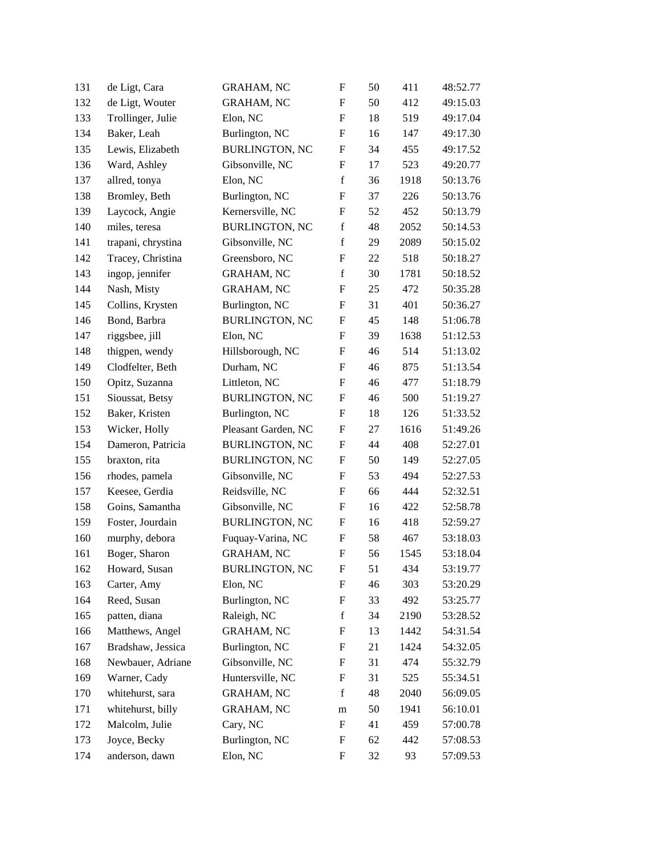| 131 | de Ligt, Cara      | <b>GRAHAM, NC</b>     | F                         | 50 | 411  | 48:52.77 |
|-----|--------------------|-----------------------|---------------------------|----|------|----------|
| 132 | de Ligt, Wouter    | <b>GRAHAM, NC</b>     | F                         | 50 | 412  | 49:15.03 |
| 133 | Trollinger, Julie  | Elon, NC              | $\boldsymbol{\mathrm{F}}$ | 18 | 519  | 49:17.04 |
| 134 | Baker, Leah        | Burlington, NC        | $\boldsymbol{\mathrm{F}}$ | 16 | 147  | 49:17.30 |
| 135 | Lewis, Elizabeth   | <b>BURLINGTON, NC</b> | $\boldsymbol{\mathrm{F}}$ | 34 | 455  | 49:17.52 |
| 136 | Ward, Ashley       | Gibsonville, NC       | $\boldsymbol{\mathrm{F}}$ | 17 | 523  | 49:20.77 |
| 137 | allred, tonya      | Elon, NC              | $\mathbf f$               | 36 | 1918 | 50:13.76 |
| 138 | Bromley, Beth      | Burlington, NC        | $\boldsymbol{\mathrm{F}}$ | 37 | 226  | 50:13.76 |
| 139 | Laycock, Angie     | Kernersville, NC      | F                         | 52 | 452  | 50:13.79 |
| 140 | miles, teresa      | <b>BURLINGTON, NC</b> | $\mathbf f$               | 48 | 2052 | 50:14.53 |
| 141 | trapani, chrystina | Gibsonville, NC       | $\mathbf f$               | 29 | 2089 | 50:15.02 |
| 142 | Tracey, Christina  | Greensboro, NC        | F                         | 22 | 518  | 50:18.27 |
| 143 | ingop, jennifer    | <b>GRAHAM, NC</b>     | $\mathbf f$               | 30 | 1781 | 50:18.52 |
| 144 | Nash, Misty        | <b>GRAHAM, NC</b>     | $\boldsymbol{\mathrm{F}}$ | 25 | 472  | 50:35.28 |
| 145 | Collins, Krysten   | Burlington, NC        | F                         | 31 | 401  | 50:36.27 |
| 146 | Bond, Barbra       | <b>BURLINGTON, NC</b> | $\boldsymbol{\mathrm{F}}$ | 45 | 148  | 51:06.78 |
| 147 | riggsbee, jill     | Elon, NC              | F                         | 39 | 1638 | 51:12.53 |
| 148 | thigpen, wendy     | Hillsborough, NC      | F                         | 46 | 514  | 51:13.02 |
| 149 | Clodfelter, Beth   | Durham, NC            | F                         | 46 | 875  | 51:13.54 |
| 150 | Opitz, Suzanna     | Littleton, NC         | $\boldsymbol{\mathrm{F}}$ | 46 | 477  | 51:18.79 |
| 151 | Sioussat, Betsy    | <b>BURLINGTON, NC</b> | $\boldsymbol{F}$          | 46 | 500  | 51:19.27 |
| 152 | Baker, Kristen     | Burlington, NC        | F                         | 18 | 126  | 51:33.52 |
| 153 | Wicker, Holly      | Pleasant Garden, NC   | F                         | 27 | 1616 | 51:49.26 |
| 154 | Dameron, Patricia  | <b>BURLINGTON, NC</b> | F                         | 44 | 408  | 52:27.01 |
| 155 | braxton, rita      | <b>BURLINGTON, NC</b> | $\boldsymbol{\mathrm{F}}$ | 50 | 149  | 52:27.05 |
| 156 | rhodes, pamela     | Gibsonville, NC       | $\boldsymbol{\mathrm{F}}$ | 53 | 494  | 52:27.53 |
| 157 | Keesee, Gerdia     | Reidsville, NC        | F                         | 66 | 444  | 52:32.51 |
| 158 | Goins, Samantha    | Gibsonville, NC       | F                         | 16 | 422  | 52:58.78 |
| 159 | Foster, Jourdain   | <b>BURLINGTON, NC</b> | F                         | 16 | 418  | 52:59.27 |
| 160 | murphy, debora     | Fuquay-Varina, NC     | F                         | 58 | 467  | 53:18.03 |
| 161 | Boger, Sharon      | <b>GRAHAM, NC</b>     | $\boldsymbol{\mathrm{F}}$ | 56 | 1545 | 53:18.04 |
| 162 | Howard, Susan      | <b>BURLINGTON, NC</b> | F                         | 51 | 434  | 53:19.77 |
| 163 | Carter, Amy        | Elon, NC              | F                         | 46 | 303  | 53:20.29 |
| 164 | Reed, Susan        | Burlington, NC        | F                         | 33 | 492  | 53:25.77 |
| 165 | patten, diana      | Raleigh, NC           | f                         | 34 | 2190 | 53:28.52 |
| 166 | Matthews, Angel    | <b>GRAHAM, NC</b>     | F                         | 13 | 1442 | 54:31.54 |
| 167 | Bradshaw, Jessica  | Burlington, NC        | F                         | 21 | 1424 | 54:32.05 |
| 168 | Newbauer, Adriane  | Gibsonville, NC       | F                         | 31 | 474  | 55:32.79 |
| 169 | Warner, Cady       | Huntersville, NC      | F                         | 31 | 525  | 55:34.51 |
| 170 | whitehurst, sara   | <b>GRAHAM, NC</b>     | f                         | 48 | 2040 | 56:09.05 |
| 171 | whitehurst, billy  | <b>GRAHAM, NC</b>     | m                         | 50 | 1941 | 56:10.01 |
| 172 | Malcolm, Julie     | Cary, NC              | F                         | 41 | 459  | 57:00.78 |
| 173 | Joyce, Becky       | Burlington, NC        | F                         | 62 | 442  | 57:08.53 |
| 174 | anderson, dawn     | Elon, NC              | F                         | 32 | 93   | 57:09.53 |